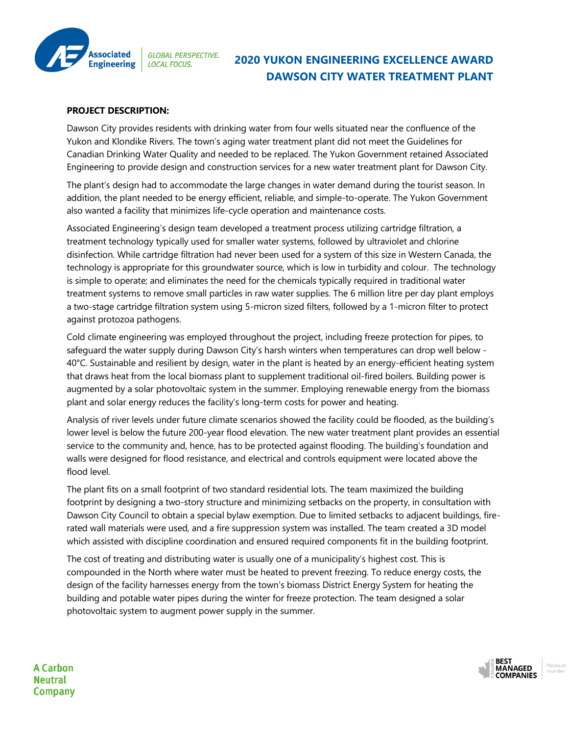

## **2020 YUKON ENGINEERING EXCELLENCE AWARD DAWSON CITY WATER TREATMENT PLANT**

## **PROJECT DESCRIPTION:**

Dawson City provides residents with drinking water from four wells situated near the confluence of the Yukon and Klondike Rivers. The town's aging water treatment plant did not meet the Guidelines for Canadian Drinking Water Quality and needed to be replaced. The Yukon Government retained Associated Engineering to provide design and construction services for a new water treatment plant for Dawson City.

The plant's design had to accommodate the large changes in water demand during the tourist season. In addition, the plant needed to be energy efficient, reliable, and simple-to-operate. The Yukon Government also wanted a facility that minimizes life-cycle operation and maintenance costs.

Associated Engineering's design team developed a treatment process utilizing cartridge filtration, a treatment technology typically used for smaller water systems, followed by ultraviolet and chlorine disinfection. While cartridge filtration had never been used for a system of this size in Western Canada, the technology is appropriate for this groundwater source, which is low in turbidity and colour. The technology is simple to operate; and eliminates the need for the chemicals typically required in traditional water treatment systems to remove small particles in raw water supplies. The 6 million litre per day plant employs a two-stage cartridge filtration system using 5-micron sized filters, followed by a 1-micron filter to protect against protozoa pathogens.

Cold climate engineering was employed throughout the project, including freeze protection for pipes, to safeguard the water supply during Dawson City's harsh winters when temperatures can drop well below - 40°C. Sustainable and resilient by design, water in the plant is heated by an energy-efficient heating system that draws heat from the local biomass plant to supplement traditional oil-fired boilers. Building power is augmented by a solar photovoltaic system in the summer. Employing renewable energy from the biomass plant and solar energy reduces the facility's long-term costs for power and heating.

Analysis of river levels under future climate scenarios showed the facility could be flooded, as the building's lower level is below the future 200-year flood elevation. The new water treatment plant provides an essential service to the community and, hence, has to be protected against flooding. The building's foundation and walls were designed for flood resistance, and electrical and controls equipment were located above the flood level.

The plant fits on a small footprint of two standard residential lots. The team maximized the building footprint by designing a two-story structure and minimizing setbacks on the property, in consultation with Dawson City Council to obtain a special bylaw exemption. Due to limited setbacks to adjacent buildings, firerated wall materials were used, and a fire suppression system was installed. The team created a 3D model which assisted with discipline coordination and ensured required components fit in the building footprint.

The cost of treating and distributing water is usually one of a municipality's highest cost. This is compounded in the North where water must be heated to prevent freezing. To reduce energy costs, the design of the facility harnesses energy from the town's biomass District Energy System for heating the building and potable water pipes during the winter for freeze protection. The team designed a solar photovoltaic system to augment power supply in the summer.



**A Carbon Neutral Company**